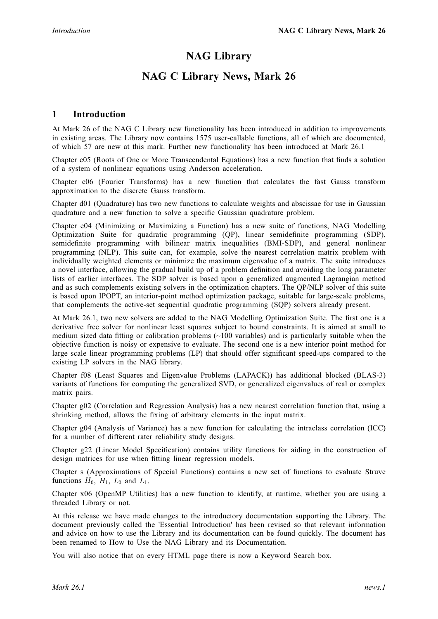# NAG Library

## NAG C Library News, Mark 26

### 1 Introduction

At Mark 26 of the NAG C Library new functionality has been introduced in addition to improvements in existing areas. The Library now contains 1575 user-callable functions, all of which are documented, of which 57 are new at this mark. Further new functionality has been introduced at Mark 26.1

Chapter c05 (Roots of One or More Transcendental Equations) has a new function that finds a solution of a system of nonlinear equations using Anderson acceleration.

Chapter c06 (Fourier Transforms) has a new function that calculates the fast Gauss transform approximation to the discrete Gauss transform.

Chapter d01 (Quadrature) has two new functions to calculate weights and abscissae for use in Gaussian quadrature and a new function to solve a specific Gaussian quadrature problem.

Chapter e04 (Minimizing or Maximizing a Function) has a new suite of functions, NAG Modelling Optimization Suite for quadratic programming (QP), linear semidefinite programming (SDP), semidefinite programming with bilinear matrix inequalities (BMI-SDP), and general nonlinear programming (NLP). This suite can, for example, solve the nearest correlation matrix problem with individually weighted elements or minimize the maximum eigenvalue of a matrix. The suite introduces a novel interface, allowing the gradual build up of a problem definition and avoiding the long parameter lists of earlier interfaces. The SDP solver is based upon a generalized augmented Lagrangian method and as such complements existing solvers in the optimization chapters. The QP/NLP solver of this suite is based upon IPOPT, an interior-point method optimization package, suitable for large-scale problems, that complements the active-set sequential quadratic programming (SQP) solvers already present.

At Mark 26.1, two new solvers are added to the NAG Modelling Optimization Suite. The first one is a derivative free solver for nonlinear least squares subject to bound constraints. It is aimed at small to medium sized data fitting or calibration problems  $(\sim 100 \text{ variables})$  and is particularly suitable when the objective function is noisy or expensive to evaluate. The second one is a new interior point method for large scale linear programming problems (LP) that should offer significant speed-ups compared to the existing LP solvers in the NAG library.

Chapter f08 (Least Squares and Eigenvalue Problems (LAPACK)) has additional blocked (BLAS-3) variants of functions for computing the generalized SVD, or generalized eigenvalues of real or complex matrix pairs.

Chapter g02 (Correlation and Regression Analysis) has a new nearest correlation function that, using a shrinking method, allows the fixing of arbitrary elements in the input matrix.

Chapter g04 (Analysis of Variance) has a new function for calculating the intraclass correlation (ICC) for a number of different rater reliability study designs.

Chapter g22 (Linear Model Specification) contains utility functions for aiding in the construction of design matrices for use when fitting linear regression models.

Chapter s (Approximations of Special Functions) contains a new set of functions to evaluate Struve functions  $H_0$ ,  $H_1$ ,  $L_0$  and  $L_1$ .

Chapter x06 (OpenMP Utilities) has a new function to identify, at runtime, whether you are using a threaded Library or not.

At this release we have made changes to the introductory documentation supporting the Library. The document previously called the 'Essential Introduction' has been revised so that relevant information and advice on how to use the Library and its documentation can be found quickly. The document has been renamed to How to Use the NAG Library and its Documentation.

You will also notice that on every HTML page there is now a Keyword Search box.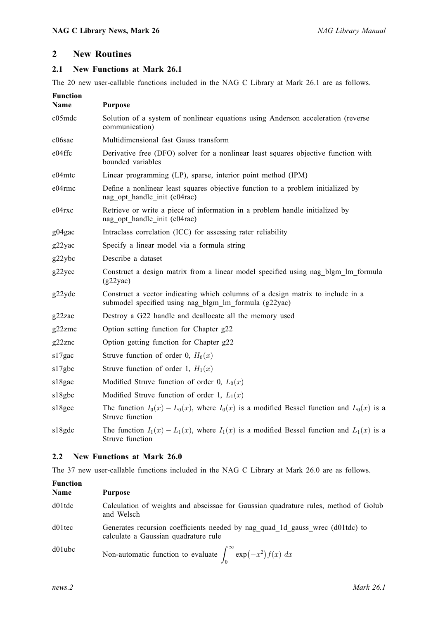### 2 New Routines

#### 2.1 New Functions at Mark 26.1

The 20 new user-callable functions included in the NAG C Library at Mark 26.1 are as follows.

| <b>Function</b><br>Name | <b>Purpose</b>                                                                                                                          |
|-------------------------|-----------------------------------------------------------------------------------------------------------------------------------------|
| c05mdc                  | Solution of a system of nonlinear equations using Anderson acceleration (reverse<br>communication)                                      |
| c06sac                  | Multidimensional fast Gauss transform                                                                                                   |
| e04ffc                  | Derivative free (DFO) solver for a nonlinear least squares objective function with<br>bounded variables                                 |
| e04mtc                  | Linear programming (LP), sparse, interior point method (IPM)                                                                            |
| e04rmc                  | Define a nonlinear least squares objective function to a problem initialized by<br>nag opt handle init (e04rac)                         |
| $e04$ rxc               | Retrieve or write a piece of information in a problem handle initialized by<br>nag opt handle init (e04rac)                             |
| g04gac                  | Intraclass correlation (ICC) for assessing rater reliability                                                                            |
| g22yac                  | Specify a linear model via a formula string                                                                                             |
| g22ybc                  | Describe a dataset                                                                                                                      |
| g22ycc                  | Construct a design matrix from a linear model specified using nag blgm Im formula<br>(g22yac)                                           |
| g22ydc                  | Construct a vector indicating which columns of a design matrix to include in a<br>submodel specified using nag blgm lm formula (g22yac) |
| g22zac                  | Destroy a G22 handle and deallocate all the memory used                                                                                 |
| g22zmc                  | Option setting function for Chapter g22                                                                                                 |
| g22znc                  | Option getting function for Chapter g22                                                                                                 |
| s17gac                  | Struve function of order 0, $H_0(x)$                                                                                                    |
| s17gbc                  | Struve function of order 1, $H_1(x)$                                                                                                    |
| s18gac                  | Modified Struve function of order 0, $L_0(x)$                                                                                           |
| s18gbc                  | Modified Struve function of order 1, $L_1(x)$                                                                                           |
| s18gcc                  | The function $I_0(x) - L_0(x)$ , where $I_0(x)$ is a modified Bessel function and $L_0(x)$ is a<br>Struve function                      |
| s18gdc                  | The function $I_1(x) - I_1(x)$ , where $I_1(x)$ is a modified Bessel function and $I_1(x)$ is a<br>Struve function                      |

#### 2.2 New Functions at Mark 26.0

The 37 new user-callable functions included in the NAG C Library at Mark 26.0 are as follows.

| <b>Function</b><br>Name | <b>Purpose</b>                                                                                                        |
|-------------------------|-----------------------------------------------------------------------------------------------------------------------|
| d01tdc                  | Calculation of weights and abscissae for Gaussian quadrature rules, method of Golub<br>and Welsch                     |
| d01tec                  | Generates recursion coefficients needed by nag quad 1d gauss wrec (d01tdc) to<br>calculate a Gaussian quadrature rule |
| $d01$ ubc               | Non-automatic function to evaluate $\int_{0}^{\infty} \exp(-x^{2}) f(x) dx$                                           |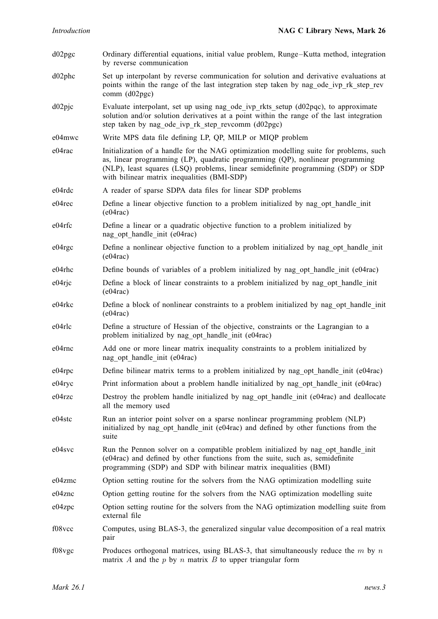d02pgc Ordinary differential equations, initial value problem, Runge–Kutta method, integration by reverse communication d02phc Set up interpolant by reverse communication for solution and derivative evaluations at points within the range of the last integration step taken by nag\_ode\_ivp\_rk\_step\_rev comm (d02pgc) d02pjc Evaluate interpolant, set up using nag\_ode\_ivp\_rkts\_setup (d02pqc), to approximate solution and/or solution derivatives at a point within the range of the last integration step taken by nag\_ode\_ivp\_rk\_step\_revcomm  $(d02pgc)$ e04mwc Write MPS data file defining LP, QP, MILP or MIQP problem e04rac Initialization of a handle for the NAG optimization modelling suite for problems, such as, linear programming (LP), quadratic programming (QP), nonlinear programming (NLP), least squares (LSQ) problems, linear semidefinite programming (SDP) or SDP with bilinear matrix inequalities (BMI-SDP) e04rdc A reader of sparse SDPA data files for linear SDP problems e04rec Define a linear objective function to a problem initialized by nag\_opt\_handle\_init (e04rac) e04rfc Define a linear or a quadratic objective function to a problem initialized by nag\_opt\_handle\_init (e04rac) e04rgc Define a nonlinear objective function to a problem initialized by nag\_opt\_handle\_init  $(e04\text{rac})$ e04rhc Define bounds of variables of a problem initialized by nag\_opt\_handle\_init (e04rac) e04rjc Define a block of linear constraints to a problem initialized by nag\_opt\_handle\_init  $(e04rac)$ e04rkc Define a block of nonlinear constraints to a problem initialized by nag\_opt\_handle\_init (e04rac) e04rlc Define a structure of Hessian of the objective, constraints or the Lagrangian to a problem initialized by nag\_opt\_handle\_init (e04rac) e04rnc Add one or more linear matrix inequality constraints to a problem initialized by nag\_opt\_handle\_init (e04rac) e04rpc Define bilinear matrix terms to a problem initialized by nag\_opt\_handle\_init (e04rac) e04ryc Print information about a problem handle initialized by nag\_opt\_handle\_init (e04rac) e04rzc Destroy the problem handle initialized by nag\_opt\_handle\_init (e04rac) and deallocate all the memory used e04stc Run an interior point solver on a sparse nonlinear programming problem (NLP) initialized by nag\_opt\_handle\_init (e04rac) and defined by other functions from the suite e04svc Run the Pennon solver on a compatible problem initialized by nag\_opt\_handle\_init (e04rac) and defined by other functions from the suite, such as, semidefinite programming (SDP) and SDP with bilinear matrix inequalities (BMI) e04zmc Option setting routine for the solvers from the NAG optimization modelling suite e04znc Option getting routine for the solvers from the NAG optimization modelling suite e04zpc Option setting routine for the solvers from the NAG optimization modelling suite from external file f08vcc Computes, using BLAS-3, the generalized singular value decomposition of a real matrix pair f08vgc Produces orthogonal matrices, using BLAS-3, that simultaneously reduce the  $m$  by  $n$ matrix A and the  $p$  by  $n$  matrix  $B$  to upper triangular form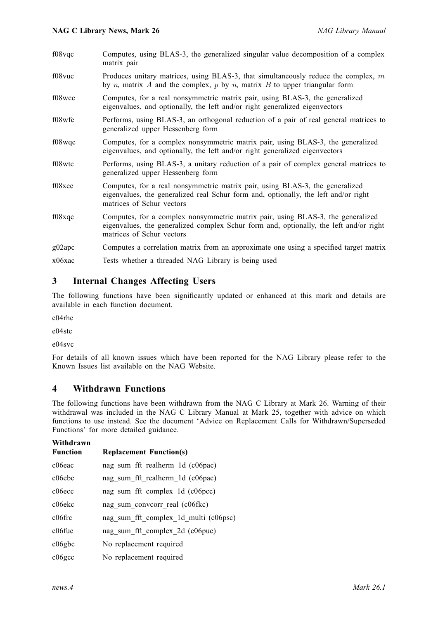| f08vqc | Computes, using BLAS-3, the generalized singular value decomposition of a complex<br>matrix pair                                                                                                       |
|--------|--------------------------------------------------------------------------------------------------------------------------------------------------------------------------------------------------------|
| f08vuc | Produces unitary matrices, using BLAS-3, that simultaneously reduce the complex, $m$<br>by <i>n</i> , matrix A and the complex, $p$ by $n$ , matrix B to upper triangular form                         |
| f08wcc | Computes, for a real nonsymmetric matrix pair, using BLAS-3, the generalized<br>eigenvalues, and optionally, the left and/or right generalized eigenvectors                                            |
| f08wfc | Performs, using BLAS-3, an orthogonal reduction of a pair of real general matrices to<br>generalized upper Hessenberg form                                                                             |
| f08wqc | Computes, for a complex nonsymmetric matrix pair, using BLAS-3, the generalized<br>eigenvalues, and optionally, the left and/or right generalized eigenvectors                                         |
| f08wtc | Performs, using BLAS-3, a unitary reduction of a pair of complex general matrices to<br>generalized upper Hessenberg form                                                                              |
| f08xcc | Computes, for a real nonsymmetric matrix pair, using BLAS-3, the generalized<br>eigenvalues, the generalized real Schur form and, optionally, the left and/or right<br>matrices of Schur vectors       |
| f08xqc | Computes, for a complex nonsymmetric matrix pair, using BLAS-3, the generalized<br>eigenvalues, the generalized complex Schur form and, optionally, the left and/or right<br>matrices of Schur vectors |
| g02apc | Computes a correlation matrix from an approximate one using a specified target matrix                                                                                                                  |
| x06xac | Tests whether a threaded NAG Library is being used                                                                                                                                                     |

#### 3 Internal Changes Affecting Users

The following functions have been significantly updated or enhanced at this mark and details are available in each function document.

e04rhc

e04stc

e04svc

For details of all known issues which have been reported for the NAG Library please refer to the Known Issues list available on the NAG Website.

#### 4 Withdrawn Functions

The following functions have been withdrawn from the NAG C Library at Mark 26. Warning of their withdrawal was included in the NAG C Library Manual at Mark 25, together with advice on which functions to use instead. See the document 'Advice on Replacement Calls for Withdrawn/Superseded Functions' for more detailed guidance.

| Withdrawn<br><b>Function</b> | <b>Replacement Function(s)</b>        |
|------------------------------|---------------------------------------|
| c06eac                       | nag sum fft realherm 1d (c06pac)      |
| c06ebc                       | nag sum fft realherm 1d (c06pac)      |
| $c06$ ecc                    | nag sum fft complex 1d (c06pcc)       |
| c06ekc                       | nag sum conveorr real (c06fkc)        |
| $c06$ frc                    | nag_sum_fft_complex_1d_multi (c06psc) |
| $c06$ fuc                    | nag sum fft complex 2d (c06puc)       |
| $c06$ gbc                    | No replacement required               |
| $c06\text{gcc}$              | No replacement required               |